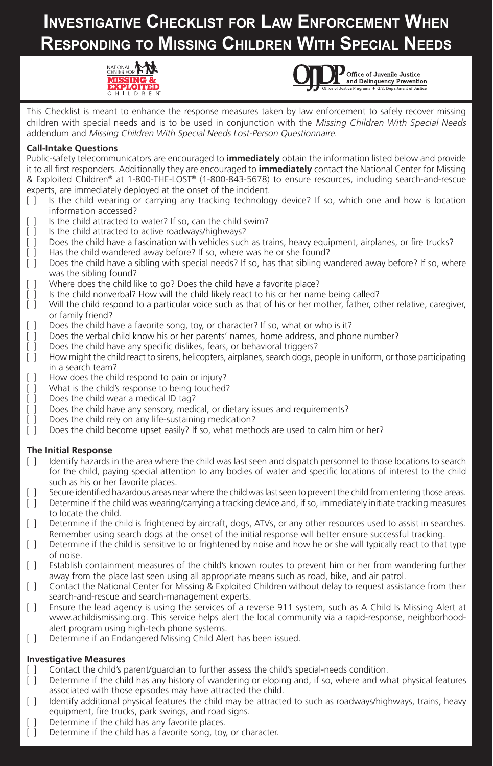# **Investigative Checklist for Law Enforcement When Responding to Missing Children With Special Needs**





This Checklist is meant to enhance the response measures taken by law enforcement to safely recover missing children with special needs and is to be used in conjunction with the Missing Children With Special Needs addendum and Missing Children With Special Needs Lost-Person Questionnaire.

## **Call-Intake Questions**

Public-safety telecommunicators are encouraged to **immediately** obtain the information listed below and provide it to all first responders. Additionally they are encouraged to **immediately** contact the National Center for Missing & Exploited Children® at 1-800-THE-LOST® (1-800-843-5678) to ensure resources, including search-and-rescue experts, are immediately deployed at the onset of the incident.

- [ ] Is the child wearing or carrying any tracking technology device? If so, which one and how is location information accessed?
- [ ] Is the child attracted to water? If so, can the child swim?
- [ ] Is the child attracted to active roadways/highways?
- [ ] Does the child have a fascination with vehicles such as trains, heavy equipment, airplanes, or fire trucks?
- [ ] Has the child wandered away before? If so, where was he or she found? [ ] Does the child have a sibling with special needs? If so, has that sibling with
- Does the child have a sibling with special needs? If so, has that sibling wandered away before? If so, where was the sibling found?
- [ ] Where does the child like to go? Does the child have a favorite place?
- [ ] Is the child nonverbal? How will the child likely react to his or her name being called?
- [ ] Will the child respond to a particular voice such as that of his or her mother, father, other relative, caregiver, or family friend?
- [ ] Does the child have a favorite song, toy, or character? If so, what or who is it?
- [ ] Does the verbal child know his or her parents' names, home address, and phone number?
- [ ] Does the child have any specific dislikes, fears, or behavioral triggers?<br>[ ] How might the child react to sirens, helicopters, airplanes, search dogs, p
- How might the child react to sirens, helicopters, airplanes, search dogs, people in uniform, or those participating in a search team?
- [ ] How does the child respond to pain or injury?
- [ ] What is the child's response to being touched?
- [ ] Does the child wear a medical ID tag?
- [ ] Does the child have any sensory, medical, or dietary issues and requirements?
- [ ] Does the child rely on any life-sustaining medication?
- [ ] Does the child become upset easily? If so, what methods are used to calm him or her?

### **The Initial Response**

- [ ] Identify hazards in the area where the child was last seen and dispatch personnel to those locations to search for the child, paying special attention to any bodies of water and specific locations of interest to the child such as his or her favorite places.
- [ ] Secure identified hazardous areas near where the child was last seen to prevent the child from entering those areas.
- [ ] Determine if the child was wearing/carrying a tracking device and, if so, immediately initiate tracking measures to locate the child.
- [ ] Determine if the child is frightened by aircraft, dogs, ATVs, or any other resources used to assist in searches. Remember using search dogs at the onset of the initial response will better ensure successful tracking.
- [ ] Determine if the child is sensitive to or frightened by noise and how he or she will typically react to that type of noise.
- [ ] Establish containment measures of the child's known routes to prevent him or her from wandering further away from the place last seen using all appropriate means such as road, bike, and air patrol.
- [ ] Contact the National Center for Missing & Exploited Children without delay to request assistance from their search-and-rescue and search-management experts.
- [ ] Ensure the lead agency is using the services of a reverse 911 system, such as A Child Is Missing Alert at www.achildismissing.org. This service helps alert the local community via a rapid-response, neighborhoodalert program using high-tech phone systems.
- [ ] Determine if an Endangered Missing Child Alert has been issued.

## **Investigative Measures**

- [ ] Contact the child's parent/guardian to further assess the child's special-needs condition.
- [ ] Determine if the child has any history of wandering or eloping and, if so, where and what physical features associated with those episodes may have attracted the child.
- [ ] Identify additional physical features the child may be attracted to such as roadways/highways, trains, heavy equipment, fire trucks, park swings, and road signs.
- Determine if the child has any favorite places.
- [ ] Determine if the child has a favorite song, toy, or character.